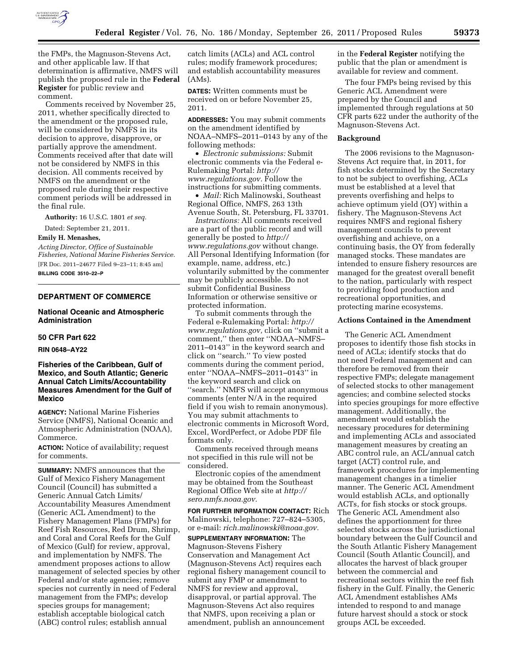

the FMPs, the Magnuson-Stevens Act, and other applicable law. If that determination is affirmative, NMFS will publish the proposed rule in the **Federal Register** for public review and comment.

Comments received by November 25, 2011, whether specifically directed to the amendment or the proposed rule, will be considered by NMFS in its decision to approve, disapprove, or partially approve the amendment. Comments received after that date will not be considered by NMFS in this decision. All comments received by NMFS on the amendment or the proposed rule during their respective comment periods will be addressed in the final rule.

**Authority:** 16 U.S.C. 1801 *et seq.* 

Dated: September 21, 2011.

# **Emily H. Menashes,**

*Acting Director, Office of Sustainable Fisheries, National Marine Fisheries Service.*  [FR Doc. 2011–24677 Filed 9–23–11; 8:45 am] **BILLING CODE 3510–22–P** 

# **DEPARTMENT OF COMMERCE**

## **National Oceanic and Atmospheric Administration**

## **50 CFR Part 622**

## **RIN 0648–AY22**

# **Fisheries of the Caribbean, Gulf of Mexico, and South Atlantic; Generic Annual Catch Limits/Accountability Measures Amendment for the Gulf of Mexico**

**AGENCY:** National Marine Fisheries Service (NMFS), National Oceanic and Atmospheric Administration (NOAA), Commerce.

**ACTION:** Notice of availability; request for comments.

**SUMMARY:** NMFS announces that the Gulf of Mexico Fishery Management Council (Council) has submitted a Generic Annual Catch Limits/ Accountability Measures Amendment (Generic ACL Amendment) to the Fishery Management Plans (FMPs) for Reef Fish Resources, Red Drum, Shrimp, and Coral and Coral Reefs for the Gulf of Mexico (Gulf) for review, approval, and implementation by NMFS. The amendment proposes actions to allow management of selected species by other Federal and/or state agencies; remove species not currently in need of Federal management from the FMPs; develop species groups for management; establish acceptable biological catch (ABC) control rules; establish annual

catch limits (ACLs) and ACL control rules; modify framework procedures; and establish accountability measures (AMs).

**DATES:** Written comments must be received on or before November 25, 2011.

**ADDRESSES:** You may submit comments on the amendment identified by NOAA–NMFS–2011–0143 by any of the following methods:

• *Electronic submissions:* Submit electronic comments via the Federal e-Rulemaking Portal: *[http://](http://www.regulations.gov)  [www.regulations.gov.](http://www.regulations.gov)* Follow the instructions for submitting comments.

• *Mail:* Rich Malinowski, Southeast Regional Office, NMFS, 263 13th Avenue South, St. Petersburg, FL 33701.

*Instructions:* All comments received are a part of the public record and will generally be posted to *[http://](http://www.regulations.gov) [www.regulations.gov](http://www.regulations.gov)* without change. All Personal Identifying Information (for example, name, address, etc.) voluntarily submitted by the commenter may be publicly accessible. Do not submit Confidential Business Information or otherwise sensitive or protected information.

To submit comments through the Federal e-Rulemaking Portal: *[http://](http://www.regulations.gov)  [www.regulations.gov,](http://www.regulations.gov)* click on ''submit a comment,'' then enter ''NOAA–NMFS– 2011–0143'' in the keyword search and click on ''search.'' To view posted comments during the comment period, enter ''NOAA–NMFS–2011–0143'' in the keyword search and click on ''search.'' NMFS will accept anonymous comments (enter N/A in the required field if you wish to remain anonymous). You may submit attachments to electronic comments in Microsoft Word, Excel, WordPerfect, or Adobe PDF file formats only.

Comments received through means not specified in this rule will not be considered.

Electronic copies of the amendment may be obtained from the Southeast Regional Office Web site at *[http://](http://sero.nmfs.noaa.gov) [sero.nmfs.noaa.gov.](http://sero.nmfs.noaa.gov)* 

**FOR FURTHER INFORMATION CONTACT:** Rich Malinowski, telephone: 727–824–5305, or e-mail: *[rich.malinowski@noaa.gov.](mailto:rich.malinowski@noaa.gov)* 

**SUPPLEMENTARY INFORMATION:** The Magnuson-Stevens Fishery Conservation and Management Act (Magnuson-Stevens Act) requires each regional fishery management council to submit any FMP or amendment to NMFS for review and approval, disapproval, or partial approval. The Magnuson-Stevens Act also requires that NMFS, upon receiving a plan or amendment, publish an announcement

in the **Federal Register** notifying the public that the plan or amendment is available for review and comment.

The four FMPs being revised by this Generic ACL Amendment were prepared by the Council and implemented through regulations at 50 CFR parts 622 under the authority of the Magnuson-Stevens Act.

# **Background**

The 2006 revisions to the Magnuson-Stevens Act require that, in 2011, for fish stocks determined by the Secretary to not be subject to overfishing, ACLs must be established at a level that prevents overfishing and helps to achieve optimum yield (OY) within a fishery. The Magnuson-Stevens Act requires NMFS and regional fishery management councils to prevent overfishing and achieve, on a continuing basis, the OY from federally managed stocks. These mandates are intended to ensure fishery resources are managed for the greatest overall benefit to the nation, particularly with respect to providing food production and recreational opportunities, and protecting marine ecosystems.

#### **Actions Contained in the Amendment**

The Generic ACL Amendment proposes to identify those fish stocks in need of ACLs; identify stocks that do not need Federal management and can therefore be removed from their respective FMPs; delegate management of selected stocks to other management agencies; and combine selected stocks into species groupings for more effective management. Additionally, the amendment would establish the necessary procedures for determining and implementing ACLs and associated management measures by creating an ABC control rule, an ACL/annual catch target (ACT) control rule, and framework procedures for implementing management changes in a timelier manner. The Generic ACL Amendment would establish ACLs, and optionally ACTs, for fish stocks or stock groups. The Generic ACL Amendment also defines the apportionment for three selected stocks across the jurisdictional boundary between the Gulf Council and the South Atlantic Fishery Management Council (South Atlantic Council), and allocates the harvest of black grouper between the commercial and recreational sectors within the reef fish fishery in the Gulf. Finally, the Generic ACL Amendment establishes AMs intended to respond to and manage future harvest should a stock or stock groups ACL be exceeded.